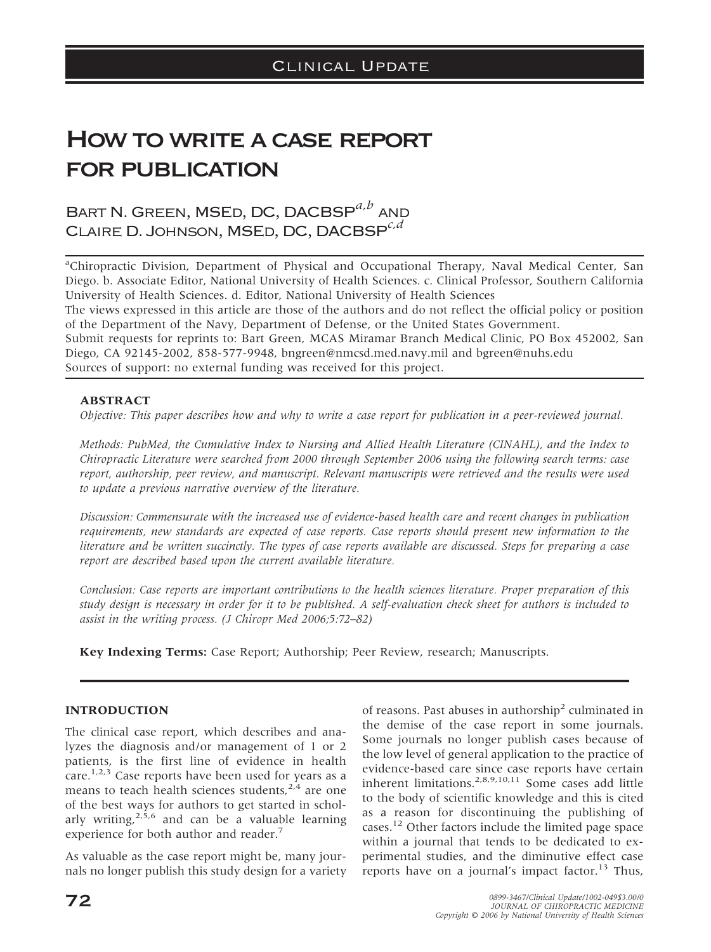# How to write a case report for publication

## BART N. GREEN, MSED, DC, DACBSP<sup>a,b</sup> AND CLAIRE D. JOHNSON, MSED, DC, DACBSP<sup>c,d</sup>

<sup>a</sup>Chiropractic Division, Department of Physical and Occupational Therapy, Naval Medical Center, San Diego. b. Associate Editor, National University of Health Sciences. c. Clinical Professor, Southern California University of Health Sciences. d. Editor, National University of Health Sciences

The views expressed in this article are those of the authors and do not reflect the official policy or position of the Department of the Navy, Department of Defense, or the United States Government.

Submit requests for reprints to: Bart Green, MCAS Miramar Branch Medical Clinic, PO Box 452002, San Diego, CA 92145-2002, 858-577-9948, bngreen@nmcsd.med.navy.mil and bgreen@nuhs.edu Sources of support: no external funding was received for this project.

## **ABSTRACT**

*Objective: This paper describes how and why to write a case report for publication in a peer-reviewed journal.*

*Methods: PubMed, the Cumulative Index to Nursing and Allied Health Literature (CINAHL), and the Index to Chiropractic Literature were searched from 2000 through September 2006 using the following search terms: case report, authorship, peer review, and manuscript. Relevant manuscripts were retrieved and the results were used to update a previous narrative overview of the literature.*

*Discussion: Commensurate with the increased use of evidence-based health care and recent changes in publication requirements, new standards are expected of case reports. Case reports should present new information to the literature and be written succinctly. The types of case reports available are discussed. Steps for preparing a case report are described based upon the current available literature.*

*Conclusion: Case reports are important contributions to the health sciences literature. Proper preparation of this study design is necessary in order for it to be published. A self-evaluation check sheet for authors is included to assist in the writing process. (J Chiropr Med 2006;5:72–82)*

**Key Indexing Terms:** Case Report; Authorship; Peer Review, research; Manuscripts.

## **INTRODUCTION**

The clinical case report, which describes and analyzes the diagnosis and/or management of 1 or 2 patients, is the first line of evidence in health care.<sup>1,2,3</sup> Case reports have been used for years as a means to teach health sciences students, $2.4$  are one of the best ways for authors to get started in scholarly writing,  $2,5,6$  and can be a valuable learning experience for both author and reader.<sup>7</sup>

As valuable as the case report might be, many journals no longer publish this study design for a variety

of reasons. Past abuses in authorship<sup>2</sup> culminated in the demise of the case report in some journals. Some journals no longer publish cases because of the low level of general application to the practice of evidence-based care since case reports have certain inherent limitations.<sup>2,8,9,10,11</sup> Some cases add little to the body of scientific knowledge and this is cited as a reason for discontinuing the publishing of cases.<sup>12</sup> Other factors include the limited page space within a journal that tends to be dedicated to experimental studies, and the diminutive effect case reports have on a journal's impact factor.<sup>13</sup> Thus,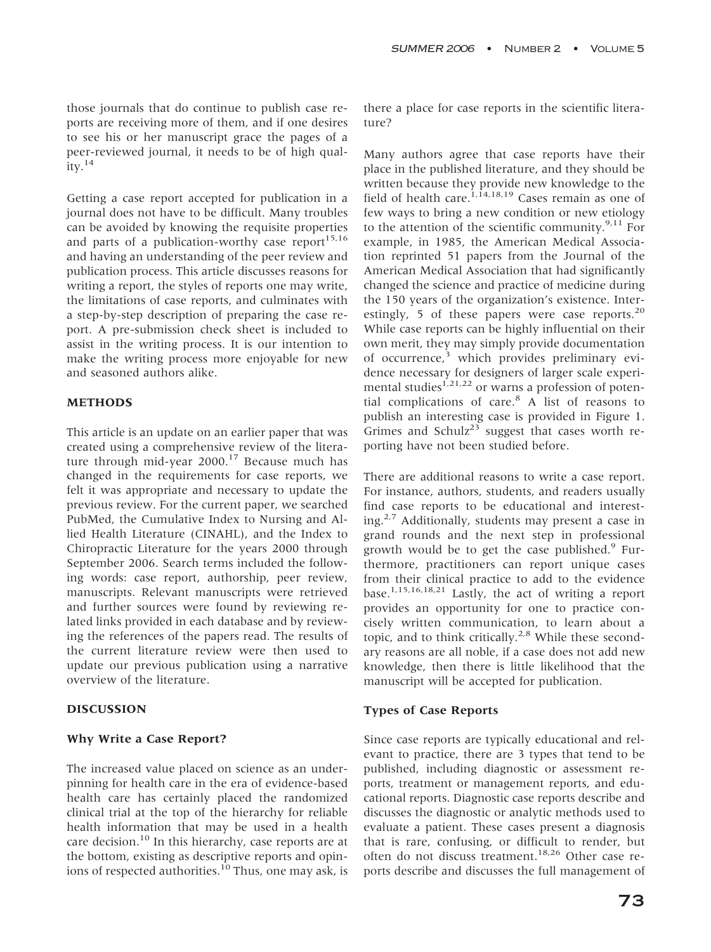those journals that do continue to publish case reports are receiving more of them, and if one desires to see his or her manuscript grace the pages of a peer-reviewed journal, it needs to be of high qual $itv.<sup>14</sup>$ 

Getting a case report accepted for publication in a journal does not have to be difficult. Many troubles can be avoided by knowing the requisite properties and parts of a publication-worthy case report $15,16$ and having an understanding of the peer review and publication process. This article discusses reasons for writing a report, the styles of reports one may write, the limitations of case reports, and culminates with a step-by-step description of preparing the case report. A pre-submission check sheet is included to assist in the writing process. It is our intention to make the writing process more enjoyable for new and seasoned authors alike.

#### **METHODS**

This article is an update on an earlier paper that was created using a comprehensive review of the literature through mid-year  $2000$ .<sup>17</sup> Because much has changed in the requirements for case reports, we felt it was appropriate and necessary to update the previous review. For the current paper, we searched PubMed, the Cumulative Index to Nursing and Allied Health Literature (CINAHL), and the Index to Chiropractic Literature for the years 2000 through September 2006. Search terms included the following words: case report, authorship, peer review, manuscripts. Relevant manuscripts were retrieved and further sources were found by reviewing related links provided in each database and by reviewing the references of the papers read. The results of the current literature review were then used to update our previous publication using a narrative overview of the literature.

## **DISCUSSION**

#### **Why Write a Case Report?**

The increased value placed on science as an underpinning for health care in the era of evidence-based health care has certainly placed the randomized clinical trial at the top of the hierarchy for reliable health information that may be used in a health care decision.<sup>10</sup> In this hierarchy, case reports are at the bottom, existing as descriptive reports and opinions of respected authorities.<sup>10</sup> Thus, one may ask, is

there a place for case reports in the scientific literature?

Many authors agree that case reports have their place in the published literature, and they should be written because they provide new knowledge to the field of health care.<sup>1,14,18,19</sup> Cases remain as one of few ways to bring a new condition or new etiology to the attention of the scientific community.<sup>9,11</sup> For example, in 1985, the American Medical Association reprinted 51 papers from the Journal of the American Medical Association that had significantly changed the science and practice of medicine during the 150 years of the organization's existence. Interestingly, 5 of these papers were case reports.<sup>20</sup> While case reports can be highly influential on their own merit, they may simply provide documentation of occurrence,<sup>3</sup> which provides preliminary evidence necessary for designers of larger scale experimental studies<sup>1,21,22</sup> or warns a profession of potential complications of care. $8$  A list of reasons to publish an interesting case is provided in Figure 1. Grimes and Schulz<sup>23</sup> suggest that cases worth reporting have not been studied before.

There are additional reasons to write a case report. For instance, authors, students, and readers usually find case reports to be educational and interesting. $2.7$  Additionally, students may present a case in grand rounds and the next step in professional growth would be to get the case published. $9$  Furthermore, practitioners can report unique cases from their clinical practice to add to the evidence base.1,15,16,18,21 Lastly, the act of writing a report provides an opportunity for one to practice concisely written communication, to learn about a topic, and to think critically. $2.8$  While these secondary reasons are all noble, if a case does not add new knowledge, then there is little likelihood that the manuscript will be accepted for publication.

#### **Types of Case Reports**

Since case reports are typically educational and relevant to practice, there are 3 types that tend to be published, including diagnostic or assessment reports, treatment or management reports, and educational reports. Diagnostic case reports describe and discusses the diagnostic or analytic methods used to evaluate a patient. These cases present a diagnosis that is rare, confusing, or difficult to render, but often do not discuss treatment.18,26 Other case reports describe and discusses the full management of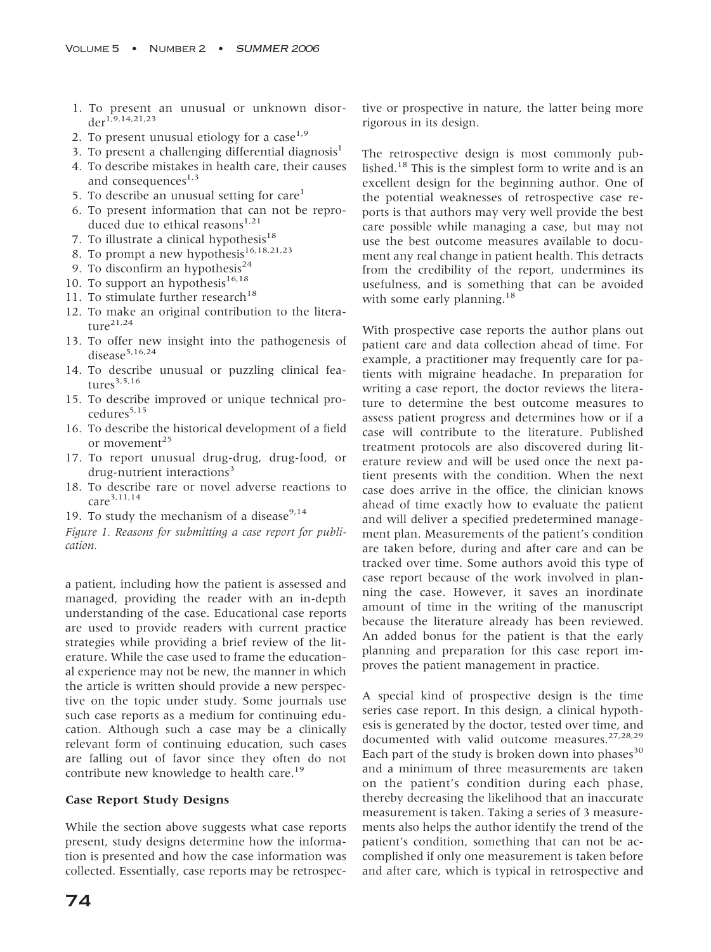- 1. To present an unusual or unknown disorder1,9,14,21,23
- 2. To present unusual etiology for a  $case<sup>1,9</sup>$
- 3. To present a challenging differential diagnosis<sup>1</sup>
- 4. To describe mistakes in health care, their causes and consequences<sup>1,3</sup>
- 5. To describe an unusual setting for care<sup>1</sup>
- 6. To present information that can not be reproduced due to ethical reasons<sup>1,21</sup>
- 7. To illustrate a clinical hypothesis<sup>18</sup>
- 8. To prompt a new hypothesis<sup>16,18,21,23</sup>
- 9. To disconfirm an hypothesis<sup>24</sup>
- 10. To support an hypothesis<sup>16,18</sup>
- 11. To stimulate further research<sup>18</sup>
- 12. To make an original contribution to the litera $ture<sup>21,24</sup>$
- 13. To offer new insight into the pathogenesis of disease $5,16,24$
- 14. To describe unusual or puzzling clinical features $3,5,16$
- 15. To describe improved or unique technical procedures<sup>5,15</sup>
- 16. To describe the historical development of a field or movement<sup>25</sup>
- 17. To report unusual drug-drug, drug-food, or drug-nutrient interactions<sup>3</sup>
- 18. To describe rare or novel adverse reactions to care3,11,14
- 19. To study the mechanism of a disease $9,14$

*Figure 1. Reasons for submitting a case report for publication.*

a patient, including how the patient is assessed and managed, providing the reader with an in-depth understanding of the case. Educational case reports are used to provide readers with current practice strategies while providing a brief review of the literature. While the case used to frame the educational experience may not be new, the manner in which the article is written should provide a new perspective on the topic under study. Some journals use such case reports as a medium for continuing education. Although such a case may be a clinically relevant form of continuing education, such cases are falling out of favor since they often do not contribute new knowledge to health care.<sup>19</sup>

#### **Case Report Study Designs**

While the section above suggests what case reports present, study designs determine how the information is presented and how the case information was collected. Essentially, case reports may be retrospective or prospective in nature, the latter being more rigorous in its design.

The retrospective design is most commonly published.<sup>18</sup> This is the simplest form to write and is an excellent design for the beginning author. One of the potential weaknesses of retrospective case reports is that authors may very well provide the best care possible while managing a case, but may not use the best outcome measures available to document any real change in patient health. This detracts from the credibility of the report, undermines its usefulness, and is something that can be avoided with some early planning.<sup>18</sup>

With prospective case reports the author plans out patient care and data collection ahead of time. For example, a practitioner may frequently care for patients with migraine headache. In preparation for writing a case report, the doctor reviews the literature to determine the best outcome measures to assess patient progress and determines how or if a case will contribute to the literature. Published treatment protocols are also discovered during literature review and will be used once the next patient presents with the condition. When the next case does arrive in the office, the clinician knows ahead of time exactly how to evaluate the patient and will deliver a specified predetermined management plan. Measurements of the patient's condition are taken before, during and after care and can be tracked over time. Some authors avoid this type of case report because of the work involved in planning the case. However, it saves an inordinate amount of time in the writing of the manuscript because the literature already has been reviewed. An added bonus for the patient is that the early planning and preparation for this case report improves the patient management in practice.

A special kind of prospective design is the time series case report. In this design, a clinical hypothesis is generated by the doctor, tested over time, and documented with valid outcome measures.<sup>27,28,29</sup> Each part of the study is broken down into phases $30$ and a minimum of three measurements are taken on the patient's condition during each phase, thereby decreasing the likelihood that an inaccurate measurement is taken. Taking a series of 3 measurements also helps the author identify the trend of the patient's condition, something that can not be accomplished if only one measurement is taken before and after care, which is typical in retrospective and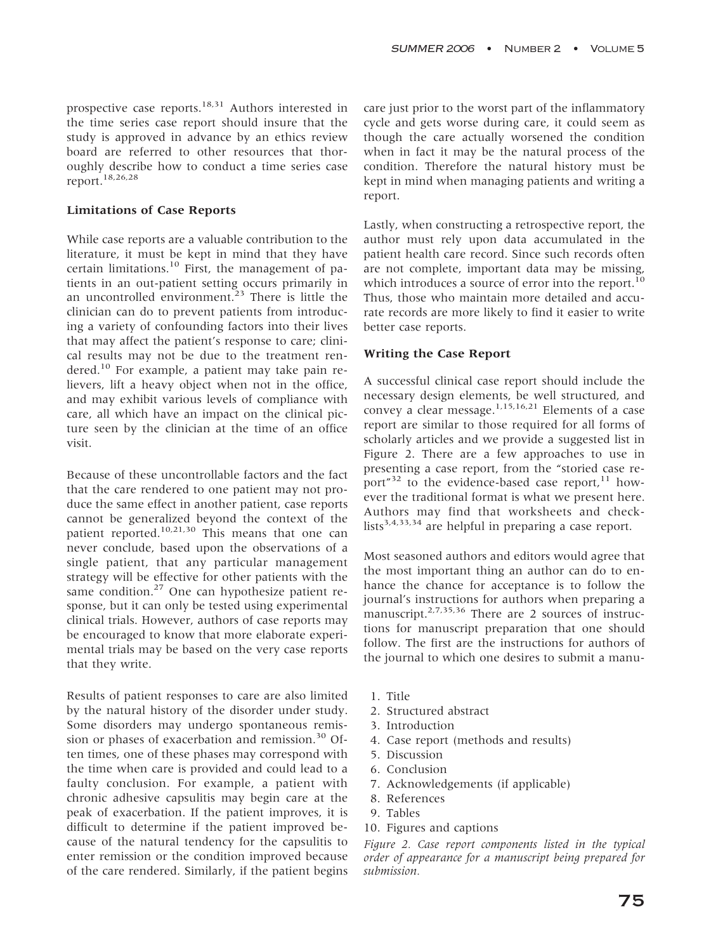prospective case reports.<sup>18,31</sup> Authors interested in the time series case report should insure that the study is approved in advance by an ethics review board are referred to other resources that thoroughly describe how to conduct a time series case report.18,26,28

## **Limitations of Case Reports**

While case reports are a valuable contribution to the literature, it must be kept in mind that they have certain limitations.<sup>10</sup> First, the management of patients in an out-patient setting occurs primarily in an uncontrolled environment.<sup>23</sup> There is little the clinician can do to prevent patients from introducing a variety of confounding factors into their lives that may affect the patient's response to care; clinical results may not be due to the treatment rendered.<sup>10</sup> For example, a patient may take pain relievers, lift a heavy object when not in the office, and may exhibit various levels of compliance with care, all which have an impact on the clinical picture seen by the clinician at the time of an office visit.

Because of these uncontrollable factors and the fact that the care rendered to one patient may not produce the same effect in another patient, case reports cannot be generalized beyond the context of the patient reported.<sup>10,21,30</sup> This means that one can never conclude, based upon the observations of a single patient, that any particular management strategy will be effective for other patients with the same condition. $27$  One can hypothesize patient response, but it can only be tested using experimental clinical trials. However, authors of case reports may be encouraged to know that more elaborate experimental trials may be based on the very case reports that they write.

Results of patient responses to care are also limited by the natural history of the disorder under study. Some disorders may undergo spontaneous remission or phases of exacerbation and remission.<sup>30</sup> Often times, one of these phases may correspond with the time when care is provided and could lead to a faulty conclusion. For example, a patient with chronic adhesive capsulitis may begin care at the peak of exacerbation. If the patient improves, it is difficult to determine if the patient improved because of the natural tendency for the capsulitis to enter remission or the condition improved because of the care rendered. Similarly, if the patient begins care just prior to the worst part of the inflammatory cycle and gets worse during care, it could seem as though the care actually worsened the condition when in fact it may be the natural process of the condition. Therefore the natural history must be kept in mind when managing patients and writing a report.

Lastly, when constructing a retrospective report, the author must rely upon data accumulated in the patient health care record. Since such records often are not complete, important data may be missing, which introduces a source of error into the report.<sup>10</sup> Thus, those who maintain more detailed and accurate records are more likely to find it easier to write better case reports.

#### **Writing the Case Report**

A successful clinical case report should include the necessary design elements, be well structured, and convey a clear message.<sup>1,15,16,21</sup> Elements of a case report are similar to those required for all forms of scholarly articles and we provide a suggested list in Figure 2. There are a few approaches to use in presenting a case report, from the "storied case report" $32$  to the evidence-based case report, $11$  however the traditional format is what we present here. Authors may find that worksheets and checklists $3,4,33,34$  are helpful in preparing a case report.

Most seasoned authors and editors would agree that the most important thing an author can do to enhance the chance for acceptance is to follow the journal's instructions for authors when preparing a manuscript. $2,7,35,36$  There are 2 sources of instructions for manuscript preparation that one should follow. The first are the instructions for authors of the journal to which one desires to submit a manu-

- 1. Title
- 2. Structured abstract
- 3. Introduction
- 4. Case report (methods and results)
- 5. Discussion
- 6. Conclusion
- 7. Acknowledgements (if applicable)
- 8. References
- 9. Tables
- 10. Figures and captions

*Figure 2. Case report components listed in the typical order of appearance for a manuscript being prepared for submission.*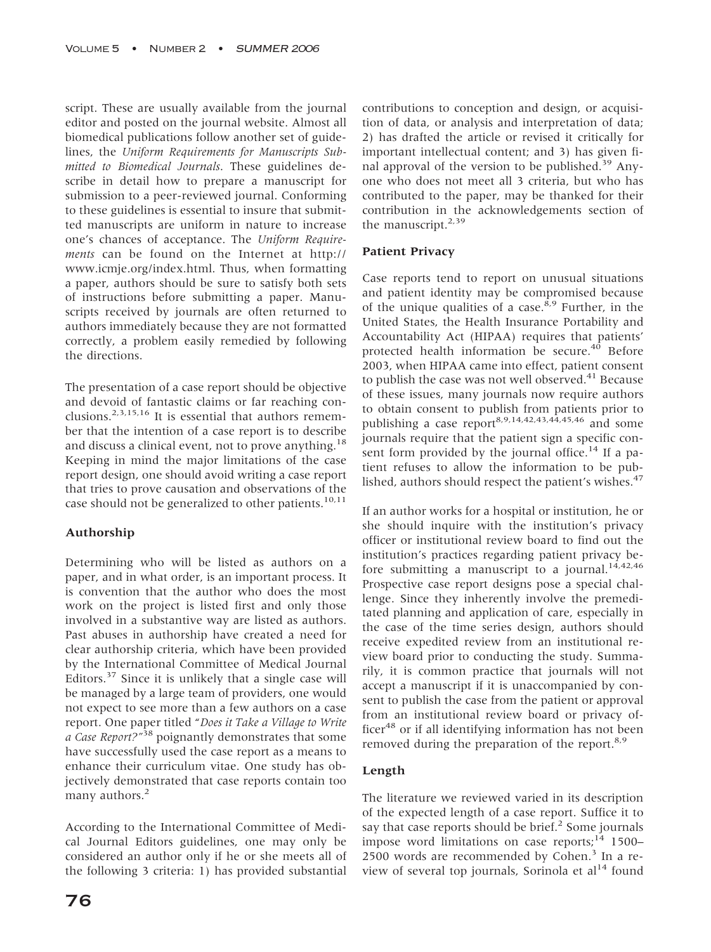script. These are usually available from the journal editor and posted on the journal website. Almost all biomedical publications follow another set of guidelines, the *Uniform Requirements for Manuscripts Submitted to Biomedical Journals*. These guidelines describe in detail how to prepare a manuscript for submission to a peer-reviewed journal. Conforming to these guidelines is essential to insure that submitted manuscripts are uniform in nature to increase one's chances of acceptance. The *Uniform Requirements* can be found on the Internet at http:// www.icmje.org/index.html. Thus, when formatting a paper, authors should be sure to satisfy both sets of instructions before submitting a paper. Manuscripts received by journals are often returned to authors immediately because they are not formatted correctly, a problem easily remedied by following the directions.

The presentation of a case report should be objective and devoid of fantastic claims or far reaching conclusions.2,3,15,16 It is essential that authors remember that the intention of a case report is to describe and discuss a clinical event, not to prove anything.<sup>18</sup> Keeping in mind the major limitations of the case report design, one should avoid writing a case report that tries to prove causation and observations of the case should not be generalized to other patients.<sup>10,11</sup>

## **Authorship**

Determining who will be listed as authors on a paper, and in what order, is an important process. It is convention that the author who does the most work on the project is listed first and only those involved in a substantive way are listed as authors. Past abuses in authorship have created a need for clear authorship criteria, which have been provided by the International Committee of Medical Journal Editors. $37$  Since it is unlikely that a single case will be managed by a large team of providers, one would not expect to see more than a few authors on a case report. One paper titled "*Does it Take a Village to Write a Case Report?"*<sup>38</sup> poignantly demonstrates that some have successfully used the case report as a means to enhance their curriculum vitae. One study has objectively demonstrated that case reports contain too many authors.<sup>2</sup>

According to the International Committee of Medical Journal Editors guidelines, one may only be considered an author only if he or she meets all of the following 3 criteria: 1) has provided substantial

contributions to conception and design, or acquisition of data, or analysis and interpretation of data; 2) has drafted the article or revised it critically for important intellectual content; and 3) has given final approval of the version to be published.<sup>39</sup> Anyone who does not meet all 3 criteria, but who has contributed to the paper, may be thanked for their contribution in the acknowledgements section of the manuscript. $2,39$ 

## **Patient Privacy**

Case reports tend to report on unusual situations and patient identity may be compromised because of the unique qualities of a case. $8,9$  Further, in the United States, the Health Insurance Portability and Accountability Act (HIPAA) requires that patients' protected health information be secure.<sup>40</sup> Before 2003, when HIPAA came into effect, patient consent to publish the case was not well observed.<sup>41</sup> Because of these issues, many journals now require authors to obtain consent to publish from patients prior to publishing a case report $8,9,14,42,43,44,45,46$  and some journals require that the patient sign a specific consent form provided by the journal office.<sup>14</sup> If a patient refuses to allow the information to be published, authors should respect the patient's wishes.<sup>47</sup>

If an author works for a hospital or institution, he or she should inquire with the institution's privacy officer or institutional review board to find out the institution's practices regarding patient privacy before submitting a manuscript to a journal.<sup>14,42,46</sup> Prospective case report designs pose a special challenge. Since they inherently involve the premeditated planning and application of care, especially in the case of the time series design, authors should receive expedited review from an institutional review board prior to conducting the study. Summarily, it is common practice that journals will not accept a manuscript if it is unaccompanied by consent to publish the case from the patient or approval from an institutional review board or privacy officer<sup>48</sup> or if all identifying information has not been removed during the preparation of the report.<sup>8,9</sup>

## **Length**

The literature we reviewed varied in its description of the expected length of a case report. Suffice it to say that case reports should be brief. $<sup>2</sup>$  Some journals</sup> impose word limitations on case reports; $^{14}$  1500– 2500 words are recommended by Cohen. $3$  In a review of several top journals, Sorinola et al $^{14}$  found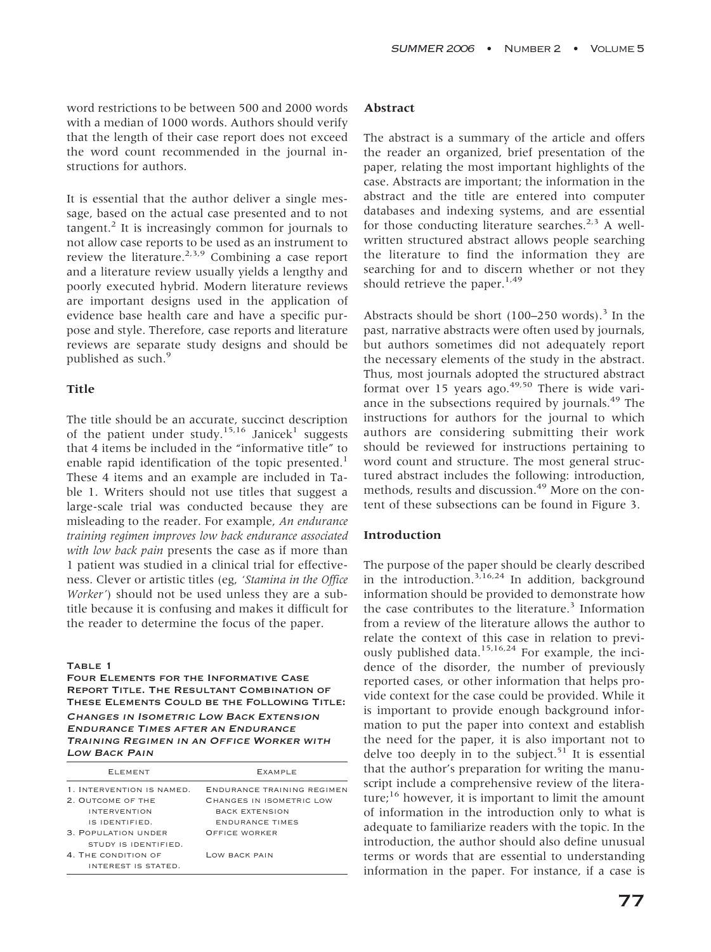word restrictions to be between 500 and 2000 words with a median of 1000 words. Authors should verify that the length of their case report does not exceed the word count recommended in the journal instructions for authors.

It is essential that the author deliver a single message, based on the actual case presented and to not tangent.<sup>2</sup> It is increasingly common for journals to not allow case reports to be used as an instrument to review the literature.<sup>2,3,9</sup> Combining a case report and a literature review usually yields a lengthy and poorly executed hybrid. Modern literature reviews are important designs used in the application of evidence base health care and have a specific purpose and style. Therefore, case reports and literature reviews are separate study designs and should be published as such.<sup>9</sup>

## **Title**

The title should be an accurate, succinct description of the patient under study.<sup>15,16</sup> Janicek<sup>1</sup> suggests that 4 items be included in the "informative title" to enable rapid identification of the topic presented.<sup>1</sup> These 4 items and an example are included in Table 1. Writers should not use titles that suggest a large-scale trial was conducted because they are misleading to the reader. For example, *An endurance training regimen improves low back endurance associated with low back pain* presents the case as if more than 1 patient was studied in a clinical trial for effectiveness. Clever or artistic titles (eg, *'Stamina in the Office Worker'*) should not be used unless they are a subtitle because it is confusing and makes it difficult for the reader to determine the focus of the paper.

#### Table 1

Four Elements for the Informative Case Report Title. The Resultant Combination of These Elements Could be the Following Title: Changes in Isometric Low Back Extension Endurance Times after an Endurance Training Regimen in an Office Worker with Low Back Pain

| <b>ELEMENT</b>            | <b>EXAMPLE</b>             |  |
|---------------------------|----------------------------|--|
| 1. INTERVENTION IS NAMED. | ENDURANCE TRAINING REGIMEN |  |
| 2. OUTCOME OF THE         | CHANGES IN ISOMETRIC LOW   |  |
| <b>INTERVENTION</b>       | <b>BACK EXTENSION</b>      |  |
| IS IDENTIFIED.            | <b>ENDURANCE TIMES</b>     |  |
| 3. POPULATION UNDER       | OFFICE WORKER              |  |
| STUDY IS IDENTIFIED.      |                            |  |
| 4. THE CONDITION OF       | LOW BACK PAIN              |  |
| INTEREST IS STATED.       |                            |  |

#### **Abstract**

The abstract is a summary of the article and offers the reader an organized, brief presentation of the paper, relating the most important highlights of the case. Abstracts are important; the information in the abstract and the title are entered into computer databases and indexing systems, and are essential for those conducting literature searches.<sup>2,3</sup> A wellwritten structured abstract allows people searching the literature to find the information they are searching for and to discern whether or not they should retrieve the paper. $1.49$ 

Abstracts should be short  $(100-250 \text{ words})$ .<sup>3</sup> In the past, narrative abstracts were often used by journals, but authors sometimes did not adequately report the necessary elements of the study in the abstract. Thus, most journals adopted the structured abstract format over 15 years ago. $49,50$  There is wide variance in the subsections required by journals.<sup>49</sup> The instructions for authors for the journal to which authors are considering submitting their work should be reviewed for instructions pertaining to word count and structure. The most general structured abstract includes the following: introduction, methods, results and discussion.<sup>49</sup> More on the content of these subsections can be found in Figure 3.

#### **Introduction**

The purpose of the paper should be clearly described in the introduction.3,16,24 In addition, background information should be provided to demonstrate how the case contributes to the literature. $3$  Information from a review of the literature allows the author to relate the context of this case in relation to previously published data.<sup>15,16,24</sup> For example, the incidence of the disorder, the number of previously reported cases, or other information that helps provide context for the case could be provided. While it is important to provide enough background information to put the paper into context and establish the need for the paper, it is also important not to delve too deeply in to the subject. $51$  It is essential that the author's preparation for writing the manuscript include a comprehensive review of the literature; $^{16}$  however, it is important to limit the amount of information in the introduction only to what is adequate to familiarize readers with the topic. In the introduction, the author should also define unusual terms or words that are essential to understanding information in the paper. For instance, if a case is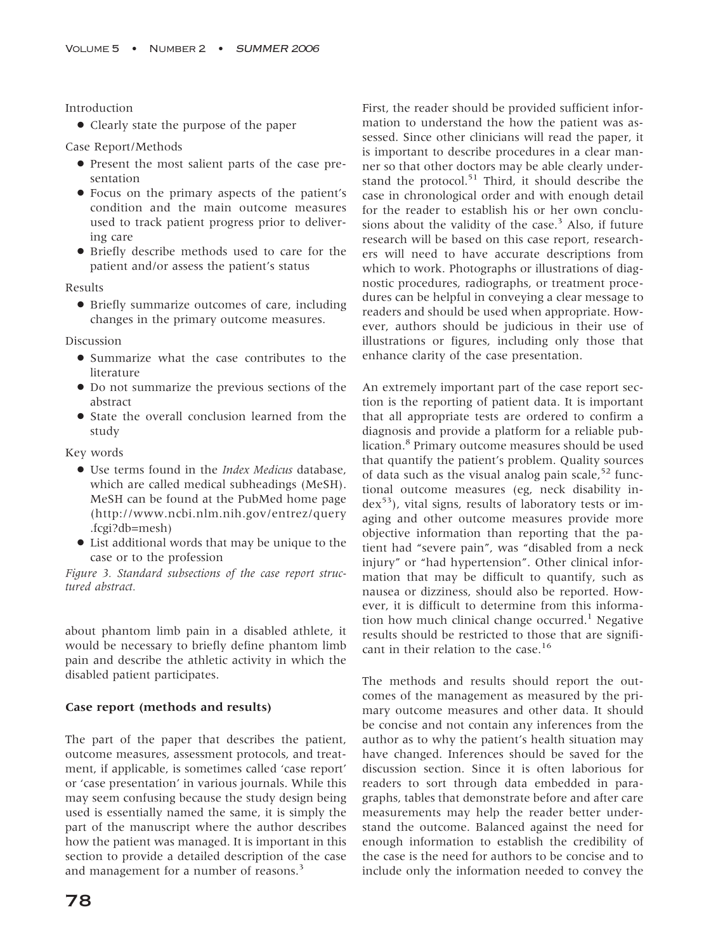Introduction

● Clearly state the purpose of the paper

Case Report/Methods

- Present the most salient parts of the case presentation
- Focus on the primary aspects of the patient's condition and the main outcome measures used to track patient progress prior to delivering care
- Briefly describe methods used to care for the patient and/or assess the patient's status

Results

● Briefly summarize outcomes of care, including changes in the primary outcome measures.

Discussion

- Summarize what the case contributes to the literature
- Do not summarize the previous sections of the abstract
- State the overall conclusion learned from the study

Key words

- Use terms found in the *Index Medicus* database, which are called medical subheadings (MeSH). MeSH can be found at the PubMed home page (http://www.ncbi.nlm.nih.gov/entrez/query .fcgi?db=mesh)
- List additional words that may be unique to the case or to the profession

*Figure 3. Standard subsections of the case report structured abstract.*

about phantom limb pain in a disabled athlete, it would be necessary to briefly define phantom limb pain and describe the athletic activity in which the disabled patient participates.

## **Case report (methods and results)**

The part of the paper that describes the patient, outcome measures, assessment protocols, and treatment, if applicable, is sometimes called 'case report' or 'case presentation' in various journals. While this may seem confusing because the study design being used is essentially named the same, it is simply the part of the manuscript where the author describes how the patient was managed. It is important in this section to provide a detailed description of the case and management for a number of reasons.<sup>3</sup>

First, the reader should be provided sufficient information to understand the how the patient was assessed. Since other clinicians will read the paper, it is important to describe procedures in a clear manner so that other doctors may be able clearly understand the protocol.<sup>51</sup> Third, it should describe the case in chronological order and with enough detail for the reader to establish his or her own conclusions about the validity of the case.<sup>3</sup> Also, if future research will be based on this case report, researchers will need to have accurate descriptions from which to work. Photographs or illustrations of diagnostic procedures, radiographs, or treatment procedures can be helpful in conveying a clear message to readers and should be used when appropriate. However, authors should be judicious in their use of illustrations or figures, including only those that enhance clarity of the case presentation.

An extremely important part of the case report section is the reporting of patient data. It is important that all appropriate tests are ordered to confirm a diagnosis and provide a platform for a reliable publication.<sup>8</sup> Primary outcome measures should be used that quantify the patient's problem. Quality sources of data such as the visual analog pain scale,<sup>52</sup> functional outcome measures (eg, neck disability in $dex^{53}$ ), vital signs, results of laboratory tests or imaging and other outcome measures provide more objective information than reporting that the patient had "severe pain", was "disabled from a neck injury" or "had hypertension". Other clinical information that may be difficult to quantify, such as nausea or dizziness, should also be reported. However, it is difficult to determine from this information how much clinical change occurred.<sup>1</sup> Negative results should be restricted to those that are significant in their relation to the case.<sup>16</sup>

The methods and results should report the outcomes of the management as measured by the primary outcome measures and other data. It should be concise and not contain any inferences from the author as to why the patient's health situation may have changed. Inferences should be saved for the discussion section. Since it is often laborious for readers to sort through data embedded in paragraphs, tables that demonstrate before and after care measurements may help the reader better understand the outcome. Balanced against the need for enough information to establish the credibility of the case is the need for authors to be concise and to include only the information needed to convey the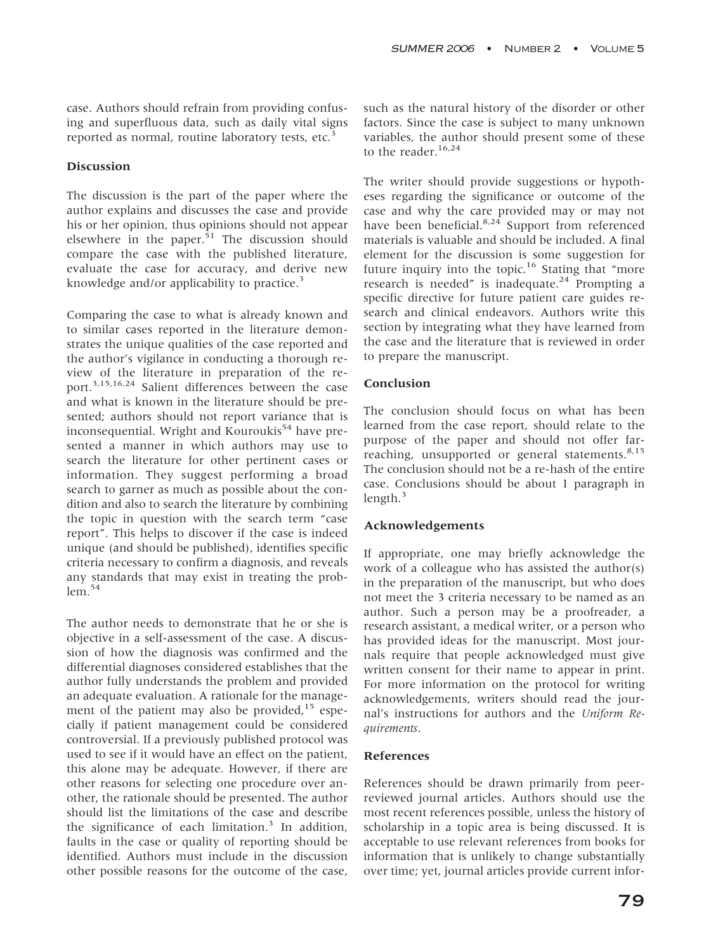case. Authors should refrain from providing confusing and superfluous data, such as daily vital signs reported as normal, routine laboratory tests, etc.<sup>3</sup>

## **Discussion**

The discussion is the part of the paper where the author explains and discusses the case and provide his or her opinion, thus opinions should not appear elsewhere in the paper.<sup>51</sup> The discussion should compare the case with the published literature, evaluate the case for accuracy, and derive new knowledge and/or applicability to practice. $3$ 

Comparing the case to what is already known and to similar cases reported in the literature demonstrates the unique qualities of the case reported and the author's vigilance in conducting a thorough review of the literature in preparation of the report.<sup>3,15,16,24</sup> Salient differences between the case and what is known in the literature should be presented; authors should not report variance that is inconsequential. Wright and Kouroukis<sup>54</sup> have presented a manner in which authors may use to search the literature for other pertinent cases or information. They suggest performing a broad search to garner as much as possible about the condition and also to search the literature by combining the topic in question with the search term "case report". This helps to discover if the case is indeed unique (and should be published), identifies specific criteria necessary to confirm a diagnosis, and reveals any standards that may exist in treating the prob $lem.<sup>54</sup>$ 

The author needs to demonstrate that he or she is objective in a self-assessment of the case. A discussion of how the diagnosis was confirmed and the differential diagnoses considered establishes that the author fully understands the problem and provided an adequate evaluation. A rationale for the management of the patient may also be provided, $15$  especially if patient management could be considered controversial. If a previously published protocol was used to see if it would have an effect on the patient, this alone may be adequate. However, if there are other reasons for selecting one procedure over another, the rationale should be presented. The author should list the limitations of the case and describe the significance of each limitation.<sup>3</sup> In addition, faults in the case or quality of reporting should be identified. Authors must include in the discussion other possible reasons for the outcome of the case, such as the natural history of the disorder or other factors. Since the case is subject to many unknown variables, the author should present some of these to the reader.<sup>16,24</sup>

The writer should provide suggestions or hypotheses regarding the significance or outcome of the case and why the care provided may or may not have been beneficial. $8,24$  Support from referenced materials is valuable and should be included. A final element for the discussion is some suggestion for future inquiry into the topic.<sup>16</sup> Stating that "more research is needed" is inadequate. $24$  Prompting a specific directive for future patient care guides research and clinical endeavors. Authors write this section by integrating what they have learned from the case and the literature that is reviewed in order to prepare the manuscript.

## **Conclusion**

The conclusion should focus on what has been learned from the case report, should relate to the purpose of the paper and should not offer farreaching, unsupported or general statements.<sup>8,15</sup> The conclusion should not be a re-hash of the entire case. Conclusions should be about 1 paragraph in length. $\frac{3}{2}$ 

#### **Acknowledgements**

If appropriate, one may briefly acknowledge the work of a colleague who has assisted the author(s) in the preparation of the manuscript, but who does not meet the 3 criteria necessary to be named as an author. Such a person may be a proofreader, a research assistant, a medical writer, or a person who has provided ideas for the manuscript. Most journals require that people acknowledged must give written consent for their name to appear in print. For more information on the protocol for writing acknowledgements, writers should read the journal's instructions for authors and the *Uniform Requirements*.

## **References**

References should be drawn primarily from peerreviewed journal articles. Authors should use the most recent references possible, unless the history of scholarship in a topic area is being discussed. It is acceptable to use relevant references from books for information that is unlikely to change substantially over time; yet, journal articles provide current infor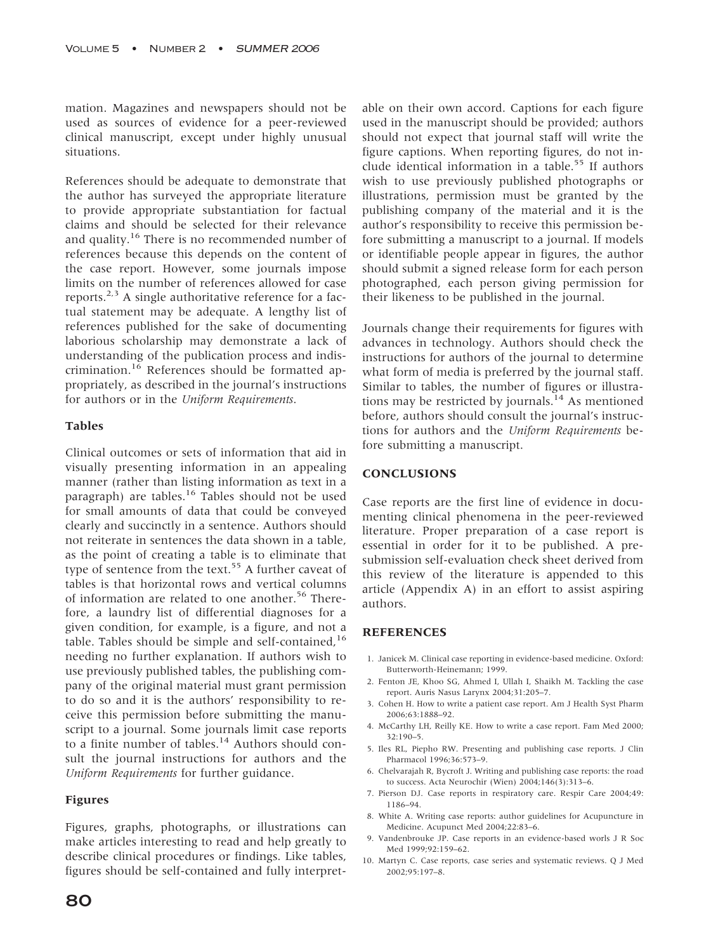mation. Magazines and newspapers should not be used as sources of evidence for a peer-reviewed clinical manuscript, except under highly unusual situations.

References should be adequate to demonstrate that the author has surveyed the appropriate literature to provide appropriate substantiation for factual claims and should be selected for their relevance and quality.16 There is no recommended number of references because this depends on the content of the case report. However, some journals impose limits on the number of references allowed for case reports. $2,3$  A single authoritative reference for a factual statement may be adequate. A lengthy list of references published for the sake of documenting laborious scholarship may demonstrate a lack of understanding of the publication process and indiscrimination.16 References should be formatted appropriately, as described in the journal's instructions for authors or in the *Uniform Requirements*.

## **Tables**

Clinical outcomes or sets of information that aid in visually presenting information in an appealing manner (rather than listing information as text in a paragraph) are tables.<sup>16</sup> Tables should not be used for small amounts of data that could be conveyed clearly and succinctly in a sentence. Authors should not reiterate in sentences the data shown in a table, as the point of creating a table is to eliminate that type of sentence from the text.<sup>55</sup> A further caveat of tables is that horizontal rows and vertical columns of information are related to one another.<sup>56</sup> Therefore, a laundry list of differential diagnoses for a given condition, for example, is a figure, and not a table. Tables should be simple and self-contained,  $16$ needing no further explanation. If authors wish to use previously published tables, the publishing company of the original material must grant permission to do so and it is the authors' responsibility to receive this permission before submitting the manuscript to a journal. Some journals limit case reports to a finite number of tables.<sup>14</sup> Authors should consult the journal instructions for authors and the *Uniform Requirements* for further guidance.

#### **Figures**

Figures, graphs, photographs, or illustrations can make articles interesting to read and help greatly to describe clinical procedures or findings. Like tables, figures should be self-contained and fully interpret-

able on their own accord. Captions for each figure used in the manuscript should be provided; authors should not expect that journal staff will write the figure captions. When reporting figures, do not include identical information in a table.<sup>55</sup> If authors wish to use previously published photographs or illustrations, permission must be granted by the publishing company of the material and it is the author's responsibility to receive this permission before submitting a manuscript to a journal. If models or identifiable people appear in figures, the author should submit a signed release form for each person photographed, each person giving permission for their likeness to be published in the journal.

Journals change their requirements for figures with advances in technology. Authors should check the instructions for authors of the journal to determine what form of media is preferred by the journal staff. Similar to tables, the number of figures or illustrations may be restricted by journals.<sup>14</sup> As mentioned before, authors should consult the journal's instructions for authors and the *Uniform Requirements* before submitting a manuscript.

## **CONCLUSIONS**

Case reports are the first line of evidence in documenting clinical phenomena in the peer-reviewed literature. Proper preparation of a case report is essential in order for it to be published. A presubmission self-evaluation check sheet derived from this review of the literature is appended to this article (Appendix A) in an effort to assist aspiring authors.

#### **REFERENCES**

- 1. Janicek M. Clinical case reporting in evidence-based medicine. Oxford: Butterworth-Heinemann; 1999.
- 2. Fenton JE, Khoo SG, Ahmed I, Ullah I, Shaikh M. Tackling the case report. Auris Nasus Larynx 2004;31:205–7.
- 3. Cohen H. How to write a patient case report. Am J Health Syst Pharm 2006;63:1888–92.
- 4. McCarthy LH, Reilly KE. How to write a case report. Fam Med 2000; 32:190–5.
- 5. Iles RL, Piepho RW. Presenting and publishing case reports. J Clin Pharmacol 1996;36:573–9.
- 6. Chelvarajah R, Bycroft J. Writing and publishing case reports: the road to success. Acta Neurochir (Wien) 2004;146(3):313–6.
- 7. Pierson DJ. Case reports in respiratory care. Respir Care 2004;49: 1186–94.
- 8. White A. Writing case reports: author guidelines for Acupuncture in Medicine. Acupunct Med 2004;22:83–6.
- 9. Vandenbrouke JP. Case reports in an evidence-based worls J R Soc Med 1999;92:159–62.
- 10. Martyn C. Case reports, case series and systematic reviews. Q J Med 2002;95:197–8.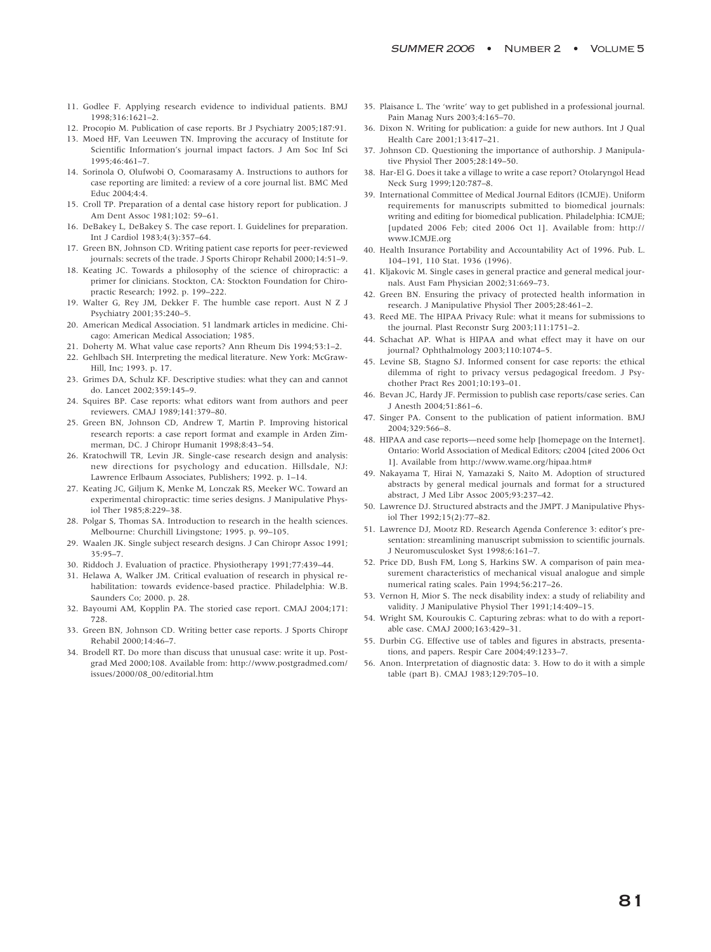- 11. Godlee F. Applying research evidence to individual patients. BMJ 1998;316:1621–2.
- 12. Procopio M. Publication of case reports. Br J Psychiatry 2005;187:91.
- 13. Moed HF, Van Leeuwen TN. Improving the accuracy of Institute for Scientific Information's journal impact factors. J Am Soc Inf Sci 1995;46:461–7.
- 14. Sorinola O, Olufwobi O, Coomarasamy A. Instructions to authors for case reporting are limited: a review of a core journal list. BMC Med Educ 2004;4:4.
- 15. Croll TP. Preparation of a dental case history report for publication. J Am Dent Assoc 1981;102: 59–61.
- 16. DeBakey L, DeBakey S. The case report. I. Guidelines for preparation. Int J Cardiol 1983;4(3):357–64.
- 17. Green BN, Johnson CD. Writing patient case reports for peer-reviewed journals: secrets of the trade. J Sports Chiropr Rehabil 2000;14:51–9.
- 18. Keating JC. Towards a philosophy of the science of chiropractic: a primer for clinicians. Stockton, CA: Stockton Foundation for Chiropractic Research; 1992. p. 199–222.
- 19. Walter G, Rey JM, Dekker F. The humble case report. Aust N Z J Psychiatry 2001;35:240–5.
- 20. American Medical Association. 51 landmark articles in medicine. Chicago: American Medical Association; 1985.
- 21. Doherty M. What value case reports? Ann Rheum Dis 1994;53:1–2.
- 22. Gehlbach SH. Interpreting the medical literature. New York: McGraw-Hill, Inc; 1993. p. 17.
- 23. Grimes DA, Schulz KF. Descriptive studies: what they can and cannot do. Lancet 2002;359:145–9.
- 24. Squires BP. Case reports: what editors want from authors and peer reviewers. CMAJ 1989;141:379–80.
- 25. Green BN, Johnson CD, Andrew T, Martin P. Improving historical research reports: a case report format and example in Arden Zimmerman, DC. J Chiropr Humanit 1998;8:43–54.
- 26. Kratochwill TR, Levin JR. Single-case research design and analysis: new directions for psychology and education. Hillsdale, NJ: Lawrence Erlbaum Associates, Publishers; 1992. p. 1–14.
- 27. Keating JC, Giljum K, Menke M, Lonczak RS, Meeker WC. Toward an experimental chiropractic: time series designs. J Manipulative Physiol Ther 1985;8:229–38.
- 28. Polgar S, Thomas SA. Introduction to research in the health sciences. Melbourne: Churchill Livingstone; 1995. p. 99–105.
- 29. Waalen JK. Single subject research designs. J Can Chiropr Assoc 1991; 35:95–7.
- 30. Riddoch J. Evaluation of practice. Physiotherapy 1991;77:439–44.
- 31. Helawa A, Walker JM. Critical evaluation of research in physical rehabilitation: towards evidence-based practice. Philadelphia: W.B. Saunders Co; 2000. p. 28.
- 32. Bayoumi AM, Kopplin PA. The storied case report. CMAJ 2004;171: 728.
- 33. Green BN, Johnson CD. Writing better case reports. J Sports Chiropr Rehabil 2000;14:46–7.
- 34. Brodell RT. Do more than discuss that unusual case: write it up. Postgrad Med 2000;108. Available from: http://www.postgradmed.com/ issues/2000/08\_00/editorial.htm
- 35. Plaisance L. The 'write' way to get published in a professional journal. Pain Manag Nurs 2003;4:165–70.
- 36. Dixon N. Writing for publication: a guide for new authors. Int J Qual Health Care 2001;13:417–21.
- 37. Johnson CD. Questioning the importance of authorship. J Manipulative Physiol Ther 2005;28:149–50.
- 38. Har-El G. Does it take a village to write a case report? Otolaryngol Head Neck Surg 1999;120:787–8.
- 39. International Committee of Medical Journal Editors (ICMJE). Uniform requirements for manuscripts submitted to biomedical journals: writing and editing for biomedical publication. Philadelphia: ICMJE; [updated 2006 Feb; cited 2006 Oct 1]. Available from: http:// www.ICMJE.org
- 40. Health Insurance Portability and Accountability Act of 1996. Pub. L. 104–191, 110 Stat. 1936 (1996).
- 41. Kljakovic M. Single cases in general practice and general medical journals. Aust Fam Physician 2002;31:669–73.
- 42. Green BN. Ensuring the privacy of protected health information in research. J Manipulative Physiol Ther 2005;28:461–2.
- 43. Reed ME. The HIPAA Privacy Rule: what it means for submissions to the journal. Plast Reconstr Surg 2003;111:1751–2.
- 44. Schachat AP. What is HIPAA and what effect may it have on our journal? Ophthalmology 2003;110:1074–5.
- 45. Levine SB, Stagno SJ. Informed consent for case reports: the ethical dilemma of right to privacy versus pedagogical freedom. J Psychother Pract Res 2001;10:193–01.
- 46. Bevan JC, Hardy JF. Permission to publish case reports/case series. Can J Anesth 2004;51:861–6.
- 47. Singer PA. Consent to the publication of patient information. BMJ 2004;329:566–8.
- 48. HIPAA and case reports—need some help [homepage on the Internet]. Ontario: World Association of Medical Editors; c2004 [cited 2006 Oct 1]. Available from http://www.wame.org/hipaa.htm#
- 49. Nakayama T, Hirai N, Yamazaki S, Naito M. Adoption of structured abstracts by general medical journals and format for a structured abstract, J Med Libr Assoc 2005;93:237–42.
- 50. Lawrence DJ. Structured abstracts and the JMPT. J Manipulative Physiol Ther 1992;15(2):77–82.
- 51. Lawrence DJ, Mootz RD. Research Agenda Conference 3: editor's presentation: streamlining manuscript submission to scientific journals. J Neuromusculosket Syst 1998;6:161–7.
- 52. Price DD, Bush FM, Long S, Harkins SW. A comparison of pain measurement characteristics of mechanical visual analogue and simple numerical rating scales. Pain 1994;56:217–26.
- 53. Vernon H, Mior S. The neck disability index: a study of reliability and validity. J Manipulative Physiol Ther 1991;14:409–15.
- 54. Wright SM, Kouroukis C. Capturing zebras: what to do with a reportable case. CMAJ 2000;163:429–31.
- 55. Durbin CG. Effective use of tables and figures in abstracts, presentations, and papers. Respir Care 2004;49:1233–7.
- 56. Anon. Interpretation of diagnostic data: 3. How to do it with a simple table (part B). CMAJ 1983;129:705–10.